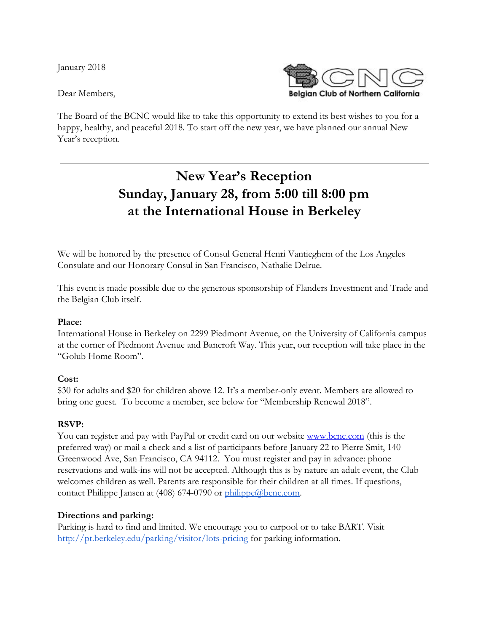January 2018

Dear Members,



The Board of the BCNC would like to take this opportunity to extend its best wishes to you for a happy, healthy, and peaceful 2018. To start off the new year, we have planned our annual New Year's reception.

# **New Year's Reception Sunday, January 28, from 5:00 till 8:00 pm at the International House in Berkeley**

We will be honored by the presence of Consul General Henri Vantieghem of the Los Angeles Consulate and our Honorary Consul in San Francisco, Nathalie Delrue.

This event is made possible due to the generous sponsorship of Flanders Investment and Trade and the Belgian Club itself.

#### **Place:**

International House in Berkeley on 2299 Piedmont Avenue, on the University of California campus at the corner of Piedmont Avenue and Bancroft Way. This year, our reception will take place in the "Golub Home Room".

#### **Cost:**

\$30 for adults and \$20 for children above 12. It's a member-only event. Members are allowed to bring one guest. To become a member, see below for "Membership Renewal 2018".

#### **RSVP:**

You can register and pay with PayPal or credit card on our website [www.bcnc.com](http://www.bcnc.com/) (this is the preferred way) or mail a check and a list of participants before January 22 to Pierre Smit, 140 Greenwood Ave, San Francisco, CA 94112. You must register and pay in advance: phone reservations and walk-ins will not be accepted. Although this is by nature an adult event, the Club welcomes children as well. Parents are responsible for their children at all times. If questions, contact Philippe Jansen at (408) 674-0790 or [philippe@bcnc.com.](mailto:philippe@bcnc.com)

#### **Directions and parking:**

Parking is hard to find and limited. We encourage you to carpool or to take BART. Visit <http://pt.berkeley.edu/parking/visitor/lots-pricing> for parking information.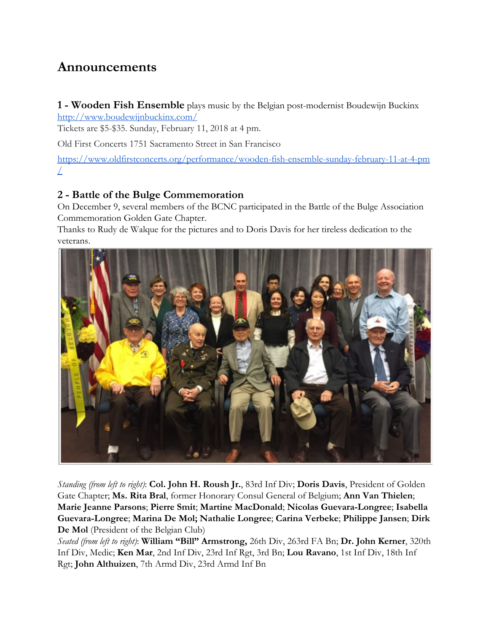## **Announcements**

**1 - Wooden Fish Ensemble** plays music by the Belgian post-modernist Boudewijn Buckinx <http://www.boudewijnbuckinx.com/>

Tickets are \$5-\$35. Sunday, February 11, 2018 at 4 pm.

Old First Concerts 1751 Sacramento Street in San Francisco

[https://www.oldfirstconcerts.org/performance/wooden-fish-ensemble-sunday-february-11-at-4-pm](https://www.oldfirstconcerts.org/performance/wooden-fish-ensemble-sunday-february-11-at-4-pm/)  $\perp$ 

### **2 - Battle of the Bulge Commemoration**

On December 9, several members of the BCNC participated in the Battle of the Bulge Association Commemoration Golden Gate Chapter.

Thanks to Rudy de Walque for the pictures and to Doris Davis for her tireless dedication to the veterans.



*Standing (from left to right)*: **Col. John H. Roush Jr.**, 83rd Inf Div; **Doris Davis**, President of Golden Gate Chapter; **Ms. Rita Bral**, former Honorary Consul General of Belgium; **Ann Van Thielen**; **Marie Jeanne Parsons**; **Pierre Smit**; **Martine MacDonald**; **Nicolas Guevara-Longree**; **Isabella Guevara-Longree**; **Marina De Mol; Nathalie Longree**; **Carina Verbeke**; **Philippe Jansen**; **Dirk De Mol** (President of the Belgian Club)

*Seated (from left to right)*: **William "Bill" Armstrong,** 26th Div, 263rd FA Bn; **Dr. John Kerner**, 320th Inf Div, Medic; **Ken Mar**, 2nd Inf Div, 23rd Inf Rgt, 3rd Bn; **Lou Ravano**, 1st Inf Div, 18th Inf Rgt; **John Althuizen**, 7th Armd Div, 23rd Armd Inf Bn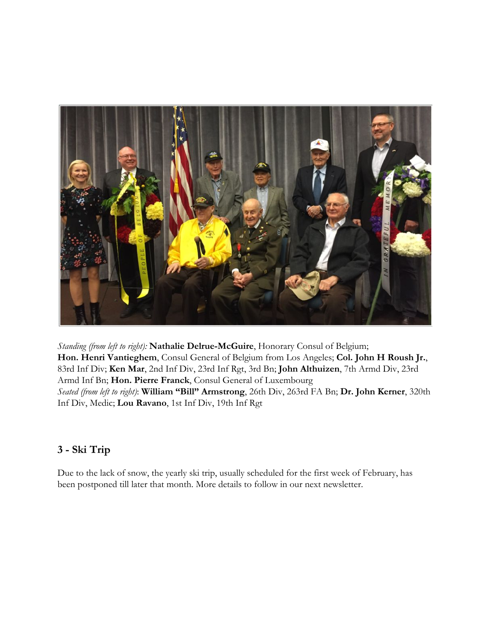

*Standing (from left to right):* **Nathalie Delrue-McGuire**, Honorary Consul of Belgium; **Hon. Henri Vantieghem**, Consul General of Belgium from Los Angeles; **Col. John H Roush Jr.**, 83rd Inf Div; **Ken Mar**, 2nd Inf Div, 23rd Inf Rgt, 3rd Bn; **John Althuizen**, 7th Armd Div, 23rd Armd Inf Bn; **Hon. Pierre Franck**, Consul General of Luxembourg *Seated (from left to right)*: **William "Bill" Armstrong**, 26th Div, 263rd FA Bn; **Dr. John Kerner**, 320th Inf Div, Medic; **Lou Ravano**, 1st Inf Div, 19th Inf Rgt

## **3 - Ski Trip**

Due to the lack of snow, the yearly ski trip, usually scheduled for the first week of February, has been postponed till later that month. More details to follow in our next newsletter.